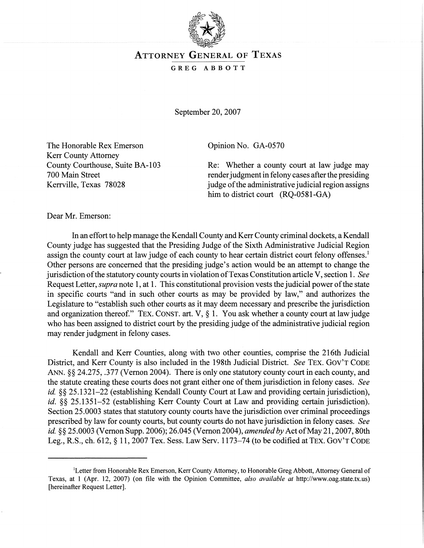

## ATTORNEY GENERAL OF TEXAS

## GREG ABBOTT

September 20, 2007

The Honorable Rex Emerson Kerr County Attorney County Courthouse, Suite BA-l 03 700 Main Street Kerrville, Texas 78028

Opinion No. GA-0570

Re: Whether a county court at law judge may render judgment in felony cases after the presiding judge of the administrative judicial region assigns him to district court (RQ-0581-GA)

Dear Mr. Emerson:

In an effort to help manage the Kendall County and Kerr County criminal dockets, a Kendall County judge has suggested that the Presiding Judge of the Sixth Administrative Judicial Region assign the county court at law judge of each county to hear certain district court felony offenses.<sup>1</sup> Other persons are concerned that the presiding judge's action would be an attempt to change the jurisdiction ofthe statutory county courts in violation ofTexas Constitution article V, section 1. *See* Request Letter, *supra* note 1, at 1. This constitutional provision vests the judicial power ofthe state in specific courts "and in such other courts as may be provided by law," and authorizes the Legislature to "establish such other courts as it may deem necessary and prescribe the jurisdiction and organization thereof." TEX. CONST. art. V,  $\S$  1. You ask whether a county court at law judge who has been assigned to district court by the presiding judge of the administrative judicial region may render judgment in felony cases.

Kendall and Kerr Counties, along with two other counties, comprise the 216th Judicial District, and Kerr County is also included in the 198th Judicial District. *See* TEX. GOV'T CODE ANN. §§ 24.275, .377 (Vernon 2004). There is only one statutory county court in each county, and the statute creating these courts does not grant either one of them jurisdiction in felony cases. *See id.* §§ 25.1321–22 (establishing Kendall County Court at Law and providing certain jurisdiction), *id.* §§ 25.1351–52 (establishing Kerr County Court at Law and providing certain jurisdiction). Section 25.0003 states that statutory county courts have the jurisdiction over criminal proceedings prescribed by law for county courts, but county courts do not have jurisdiction in felony cases. *See id.* §§ 25.0003 (Vernon Supp. 2006); 26.045 (Vernon 2004), *amended by* Act of May 21, 2007, 80th Leg., R.S., ch. 612, § 11, 2007 Tex. Sess. Law Serv. 1173-74 (to be codified at TEX. GOV'T CODE

<sup>&</sup>lt;sup>1</sup>Letter from Honorable Rex Emerson, Kerr County Attorney, to Honorable Greg Abbott, Attorney General of Texas, at 1 (Apr. 12, 2007) (on file with the Opinion Committee, *also available at* http://www.oag.state.tx.us) [hereinafter Request Letter].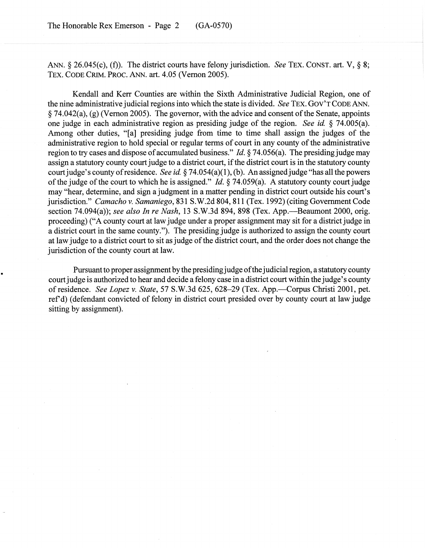ANN. § 26.045(c), (f)). The district courts have felony jurisdiction. *See* TEX. CONST. art. V, § 8; TEX. CODE CRIM. PROC. ANN. art. 4.05 (Vernon 2005).

Kendall and Kerr Counties are within the Sixth Administrative Judicial Region, one of the nine administrative judicial regions into which the state is divided. *See* TEx. GOV'T CODE ANN.  $\S$  74.042(a), (g) (Vernon 2005). The governor, with the advice and consent of the Senate, appoints one judge in each administrative region as presiding judge of the region. *See id.* § 74.005(a). Among other duties, "[a] presiding judge from time to time shall assign the judges of the administrative region to hold special or regular terms of court in any county of the administrative region to try cases and dispose of accumulated business." *Id.*  $\S$  74.056(a). The presiding judge may assign a statutory county court judge to a district court, if the district court is in the statutory county court judge's county of residence. *See id.* § 74.054(a)(1), (b). An assigned judge "has all the powers of the judge of the court to which he is assigned." *Id.*  $\S$  74.059(a). A statutory county court judge may "hear, determine, and sign a judgment in a matter pending in district court outside his court's jurisdiction." *Camacho* v. *Samaniego,* 831 S.W.2d 804, 811 (Tex. 1992) (citing Government Code section 74.094(a)); *see also In re Nash,* 13 S.W.3d 894, 898 (Tex. App.-Beaumont 2000, orig. proceeding) ("A county court at law judge under a proper assignment may sit for a district judge in a district court in the same county."). The presiding judge is authorized to assign the county court at law judge to a district court to sit as judge of the district court, and the order does not change the jurisdiction of the county court at law.

Pursuant to proper assignment by the presiding judge of the judicial region, a statutory county court judge is authorized to hear and decide a felony case in a district court within the judge's county ofresidence. *See Lopez* v. *State,* 57 S.W.3d 625,628-29 (Tex. App.-Corpus Christi 2001, pet. ref'd) (defendant convicted of felony in district court presided over by county court at law judge sitting by assignment).